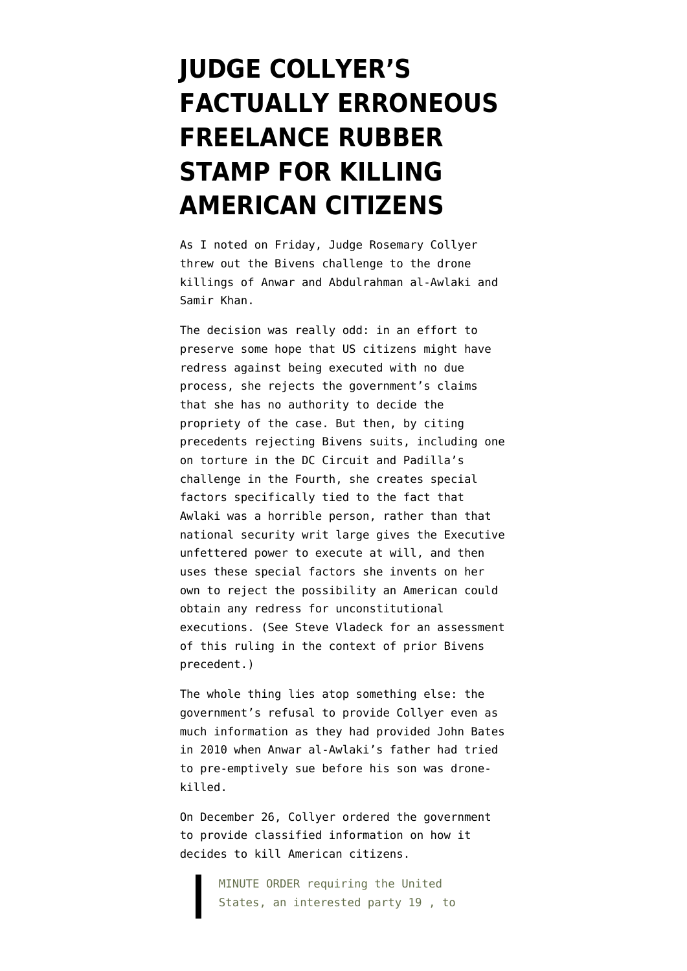## **[JUDGE COLLYER'S](https://www.emptywheel.net/2014/04/07/judge-collyers-factually-erroneous-freelance-rubber-stamp-for-killing-american-citizens/) [FACTUALLY ERRONEOUS](https://www.emptywheel.net/2014/04/07/judge-collyers-factually-erroneous-freelance-rubber-stamp-for-killing-american-citizens/) [FREELANCE RUBBER](https://www.emptywheel.net/2014/04/07/judge-collyers-factually-erroneous-freelance-rubber-stamp-for-killing-american-citizens/) [STAMP FOR KILLING](https://www.emptywheel.net/2014/04/07/judge-collyers-factually-erroneous-freelance-rubber-stamp-for-killing-american-citizens/) [AMERICAN CITIZENS](https://www.emptywheel.net/2014/04/07/judge-collyers-factually-erroneous-freelance-rubber-stamp-for-killing-american-citizens/)**

As I noted on Friday, Judge Rosemary Collyer [threw out](http://ccrjustice.org/files/2014-04-04_Al-Aulaqiv.Panetta_OpinionDismissingCase.pdf) the Bivens challenge to the drone killings of Anwar and Abdulrahman al-Awlaki and Samir Khan.

The decision was really odd: in an effort to preserve some hope that US citizens might have redress against being executed with no due process, she rejects the government's claims that she has no authority to decide the propriety of the case. But then, by citing precedents rejecting Bivens suits, including one on torture in the DC Circuit and Padilla's challenge in the Fourth, she creates special factors specifically tied to the fact that Awlaki was a horrible person, rather than that national security writ large gives the Executive unfettered power to execute at will, and then uses these special factors she invents on her own to reject the possibility an American could obtain any redress for unconstitutional executions. (See [Steve Vladeck for an assessment](http://justsecurity.org/2014/04/07/al-aulaqi-opinion-fourth-amendment-seizures/) of this ruling in the context of prior Bivens precedent.)

The whole thing lies atop something else: the government's refusal to provide Collyer even as much information as they had provided John Bates in 2010 when Anwar al-Awlaki's father had tried to pre-emptively sue before his son was dronekilled.

On December 26, Collyer ordered the government to provide classified information on how it decides to kill American citizens.

> MINUTE ORDER requiring the United States, an interested party 19 , to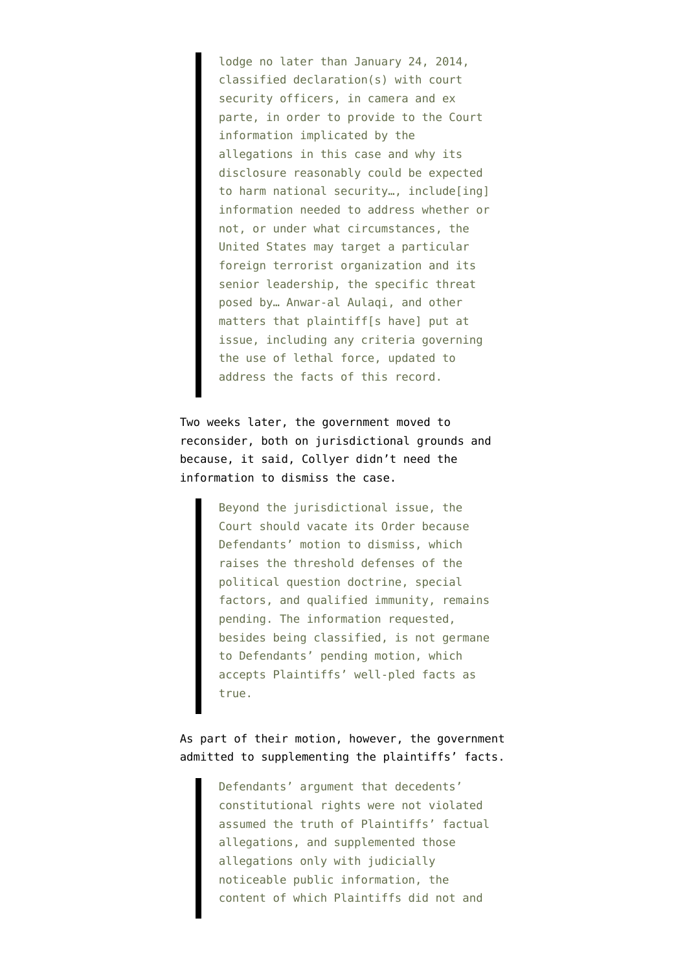lodge no later than January 24, 2014, classified declaration(s) with court security officers, in camera and ex parte, in order to provide to the Court information implicated by the allegations in this case and why its disclosure reasonably could be expected to harm national security…, include[ing] information needed to address whether or not, or under what circumstances, the United States may target a particular foreign terrorist organization and its senior leadership, the specific threat posed by… Anwar-al Aulaqi, and other matters that plaintiff[s have] put at issue, including any criteria governing the use of lethal force, updated to address the facts of this record.

Two weeks later, the government [moved](http://ia601201.us.archive.org/33/items/gov.uscourts.dcd.155312/gov.uscourts.dcd.155312.34.0.pdf) to reconsider, both on jurisdictional grounds and because, it said, Collyer didn't need the information to dismiss the case.

> Beyond the jurisdictional issue, the Court should vacate its Order because Defendants' motion to dismiss, which raises the threshold defenses of the political question doctrine, special factors, and qualified immunity, remains pending. The information requested, besides being classified, is not germane to Defendants' pending motion, which accepts Plaintiffs' well-pled facts as true.

As part of their motion, however, the government admitted to supplementing the plaintiffs' facts.

> Defendants' argument that decedents' constitutional rights were not violated assumed the truth of Plaintiffs' factual allegations, and supplemented those allegations only with judicially noticeable public information, the content of which Plaintiffs did not and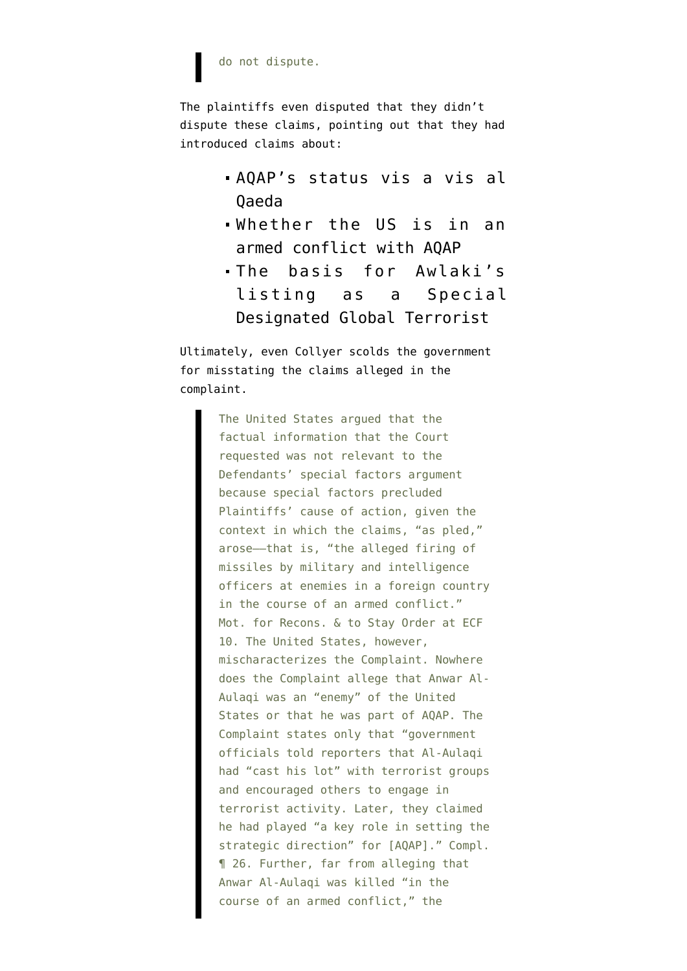## do not dispute.

The plaintiffs even [disputed that they didn't](http://ia601201.us.archive.org/33/items/gov.uscourts.dcd.155312/gov.uscourts.dcd.155312.35.0.pdf) [dispute](http://ia601201.us.archive.org/33/items/gov.uscourts.dcd.155312/gov.uscourts.dcd.155312.35.0.pdf) these claims, pointing out that they had introduced claims about:

- AQAP's status vis a vis al Qaeda
- Whether the US is in an armed conflict with AQAP
- The basis for Awlaki's listing as a Special Designated Global Terrorist

Ultimately, even Collyer scolds the government for misstating the claims alleged in the complaint.

> The United States argued that the factual information that the Court requested was not relevant to the Defendants' special factors argument because special factors precluded Plaintiffs' cause of action, given the context in which the claims, "as pled," arose––that is, "the alleged firing of missiles by military and intelligence officers at enemies in a foreign country in the course of an armed conflict." Mot. for Recons. & to Stay Order at ECF 10. The United States, however, mischaracterizes the Complaint. Nowhere does the Complaint allege that Anwar Al-Aulaqi was an "enemy" of the United States or that he was part of AQAP. The Complaint states only that "government officials told reporters that Al-Aulaqi had "cast his lot" with terrorist groups and encouraged others to engage in terrorist activity. Later, they claimed he had played "a key role in setting the strategic direction" for [AQAP]." Compl. ¶ 26. Further, far from alleging that Anwar Al-Aulaqi was killed "in the course of an armed conflict," the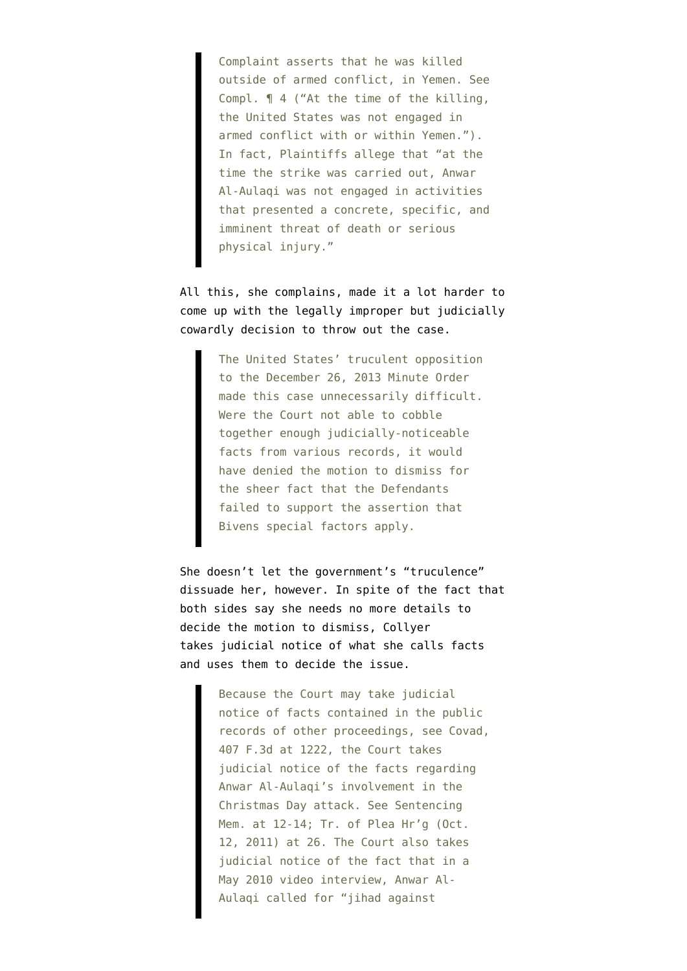Complaint asserts that he was killed outside of armed conflict, in Yemen. See Compl. ¶ 4 ("At the time of the killing, the United States was not engaged in armed conflict with or within Yemen."). In fact, Plaintiffs allege that "at the time the strike was carried out, Anwar Al-Aulaqi was not engaged in activities that presented a concrete, specific, and imminent threat of death or serious physical injury."

All this, she complains, made it a lot harder to come up with the legally improper but judicially cowardly decision to throw out the case.

> The United States' truculent opposition to the December 26, 2013 Minute Order made this case unnecessarily difficult. Were the Court not able to cobble together enough judicially-noticeable facts from various records, it would have denied the motion to dismiss for the sheer fact that the Defendants failed to support the assertion that Bivens special factors apply.

She doesn't let the government's "truculence" dissuade her, however. In spite of the fact that both sides say she needs no more details to decide the motion to dismiss, Collyer takes judicial notice of what she calls facts and uses them to decide the issue.

> Because the Court may take judicial notice of facts contained in the public records of other proceedings, see Covad, 407 F.3d at 1222, the Court takes judicial notice of the facts regarding Anwar Al-Aulaqi's involvement in the Christmas Day attack. See Sentencing Mem. at 12-14; Tr. of Plea Hr'g (Oct. 12, 2011) at 26. The Court also takes judicial notice of the fact that in a May 2010 video interview, Anwar Al-Aulaqi called for "jihad against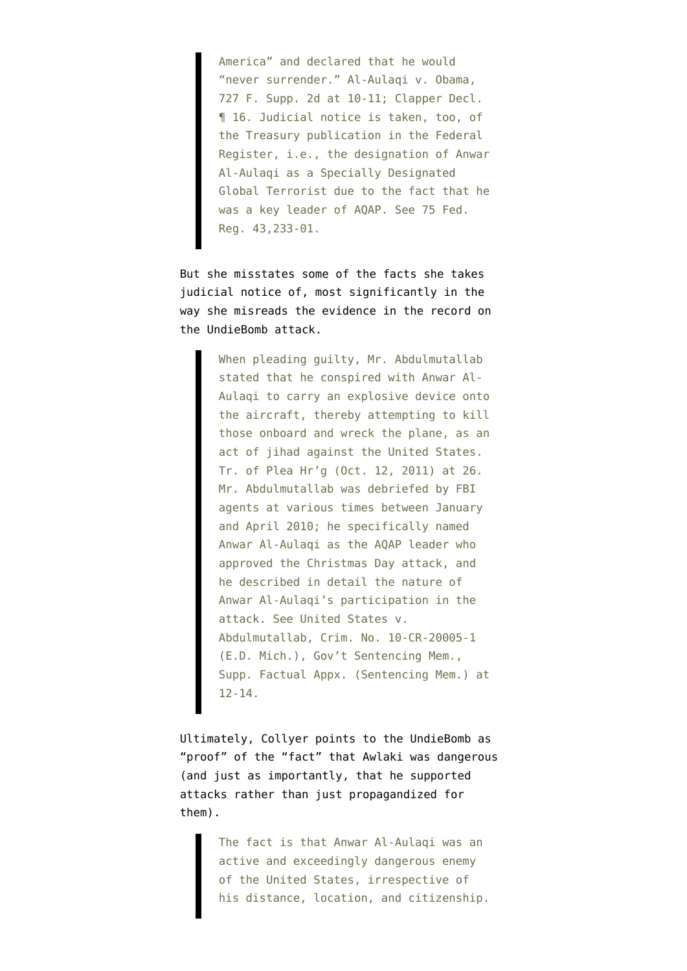America" and declared that he would "never surrender." Al-Aulaqi v. Obama, 727 F. Supp. 2d at 10-11; Clapper Decl. ¶ 16. Judicial notice is taken, too, of the Treasury publication in the Federal Register, i.e., the designation of Anwar Al-Aulaqi as a Specially Designated Global Terrorist due to the fact that he was a key leader of AQAP. See 75 Fed. Reg. 43,233-01.

But she misstates some of the facts she takes judicial notice of, most significantly in the way she misreads the evidence in the record on the UndieBomb attack.

> When pleading guilty, Mr. Abdulmutallab stated that he conspired with Anwar Al-Aulaqi to carry an explosive device onto the aircraft, thereby attempting to kill those onboard and wreck the plane, as an act of jihad against the United States. Tr. of Plea Hr'g (Oct. 12, 2011) at 26. Mr. Abdulmutallab was debriefed by FBI agents at various times between January and April 2010; he specifically named Anwar Al-Aulaqi as the AQAP leader who approved the Christmas Day attack, and he described in detail the nature of Anwar Al-Aulaqi's participation in the attack. See United States v. Abdulmutallab, Crim. No. 10-CR-20005-1 (E.D. Mich.), Gov't Sentencing Mem., Supp. Factual Appx. (Sentencing Mem.) at 12-14.

Ultimately, Collyer points to the UndieBomb as "proof" of the "fact" that Awlaki was dangerous (and just as importantly, that he supported attacks rather than just propagandized for them).

> The fact is that Anwar Al-Aulaqi was an active and exceedingly dangerous enemy of the United States, irrespective of his distance, location, and citizenship.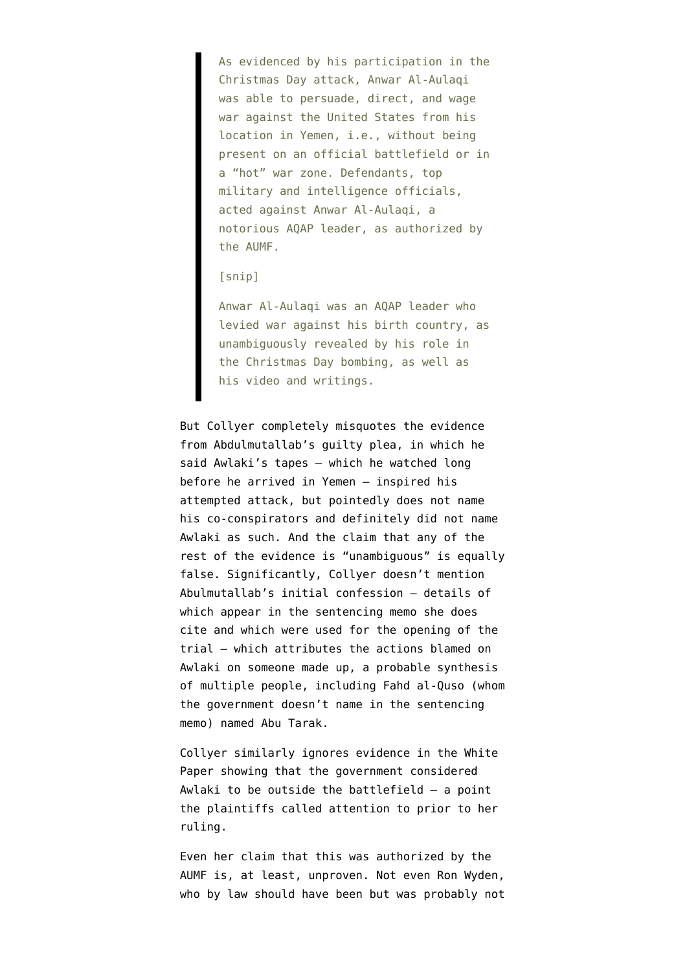As evidenced by his participation in the Christmas Day attack, Anwar Al-Aulaqi was able to persuade, direct, and wage war against the United States from his location in Yemen, i.e., without being present on an official battlefield or in a "hot" war zone. Defendants, top military and intelligence officials, acted against Anwar Al-Aulaqi, a notorious AQAP leader, as authorized by the AUMF.

## [snip]

Anwar Al-Aulaqi was an AQAP leader who levied war against his birth country, as unambiguously revealed by his role in the Christmas Day bombing, as well as his video and writings.

But Collyer [completely misquotes](http://www.emptywheel.net/2013/05/22/in-guilty-plea-abdulmutallab-named-awlaki-as-inspiration-not-as-co-conspirator/) the evidence from Abdulmutallab's guilty plea, in which he said Awlaki's tapes — which he watched long before he arrived in Yemen — inspired his attempted attack, but pointedly does not name his co-conspirators and definitely did not name Awlaki as such. And the claim that any of the rest of the evidence is "unambiguous" is equally false. Significantly, Collyer doesn't mention Abulmutallab's initial confession — details of which appear in the sentencing memo she does cite and which were used for the opening of the trial — which attributes the actions blamed on Awlaki on someone made up, a probable synthesis of multiple people, including Fahd al-Quso [\(whom](http://www.emptywheel.net/2013/05/21/why-would-the-us-shield-fahd-al-quso-in-february-2012-but-drone-kill-him-in-may-2012/) [the government doesn't name in the sentencing](http://www.emptywheel.net/2013/05/21/why-would-the-us-shield-fahd-al-quso-in-february-2012-but-drone-kill-him-in-may-2012/) [memo](http://www.emptywheel.net/2013/05/21/why-would-the-us-shield-fahd-al-quso-in-february-2012-but-drone-kill-him-in-may-2012/)) [named Abu Tarak](http://www.emptywheel.net/2012/02/11/why-has-the-government-story-about-who-ordered-the-undiebomber-to-attack-the-us-changed/).

Collyer similarly ignores evidence in the White Paper showing that the government considered Awlaki to be outside the battlefield — a point the plaintiffs called attention to prior to her ruling.

Even her claim that this was authorized by the AUMF is, at least, unproven. Not even Ron Wyden, who by law should have been but was probably not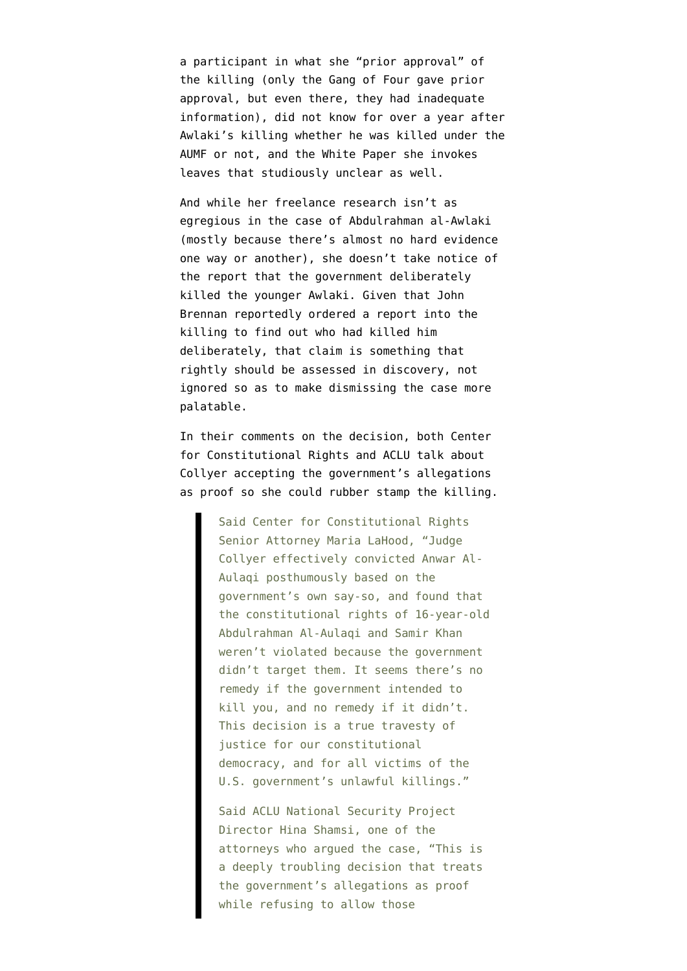a participant in what she "prior approval" of the killing (only the Gang of Four gave prior approval, but even there, [they had inadequate](http://www.emptywheel.net/2011/10/03/the-gang-of-four-doesnt-have-access-to-the-kill-list/) [information](http://www.emptywheel.net/2011/10/03/the-gang-of-four-doesnt-have-access-to-the-kill-list/)), [did not know for over a year after](http://www.wyden.senate.gov/news/press-releases/wyden-continues-to-press-justice-department-to-explain-the-extent-of-its-authority-to-kill-americans) [Awlaki's killing](http://www.wyden.senate.gov/news/press-releases/wyden-continues-to-press-justice-department-to-explain-the-extent-of-its-authority-to-kill-americans) whether he was killed under the AUMF or not, and the White Paper she invokes [leaves that studiously unclear](http://www.emptywheel.net/2013/02/09/article-ii-or-aumf-a-high-level-official-aka-john-brennan-says-cia-can-kill-you/) as well.

And while her freelance research isn't as egregious in the case of Abdulrahman al-Awlaki (mostly because there's almost no hard evidence one way or another), she doesn't take notice of the [report](http://www.emptywheel.net/2013/04/22/john-brennans-review-of-how-he-killed-an-american-teenager/) that the government deliberately killed the younger Awlaki. Given that John Brennan reportedly ordered a report into the killing to find out who had killed him deliberately, that claim is something that rightly should be assessed in discovery, not ignored so as to make dismissing the case more palatable.

In their comments on the decision, both Center for Constitutional Rights and ACLU talk about Collyer accepting the government's allegations as proof so she could rubber stamp the killing.

> Said Center for Constitutional Rights Senior Attorney Maria LaHood, "Judge Collyer effectively convicted Anwar Al-Aulaqi posthumously based on the government's own say-so, and found that the constitutional rights of 16-year-old Abdulrahman Al-Aulaqi and Samir Khan weren't violated because the government didn't target them. It seems there's no remedy if the government intended to kill you, and no remedy if it didn't. This decision is a true travesty of justice for our constitutional democracy, and for all victims of the U.S. government's unlawful killings."

Said ACLU National Security Project Director Hina Shamsi, one of the attorneys who argued the case, "This is a deeply troubling decision that treats the government's allegations as proof while refusing to allow those